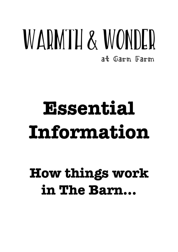## WARMTH & WONDER at Garn Farm

# **Essential Information**

## **How things work in The Barn…**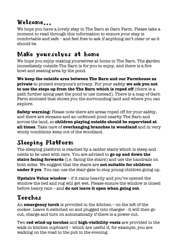## Welcome**…**

We hope you have a lovely stay in The Barn at Garn Farm. Please take a moment to read through this information to ensure your stay is comfortable and safe – and feel free to ask if anything isn't clear or as it should be.

## Make yourselves at home

We hope you enjoy making yourselves at home in The Barn. The garden immediately outside The Barn is for you to enjoy, and there is a fire bowl and seating area by the pond.

**We keep the outside area between The Barn and our Farmhouse as private** to protect everyone's privacy. For your safety **we ask you not to use the steps up from the The Barn which is roped off** (there is a path further along past the pond to use instead). There is a map of Garn Farm enclosed that shows you the surrounding land and where you can explore.

**Safety warning:** Please note there are areas roped off for your safety, and there are streams and an unfenced pond nearby The Barn and across the land, so **children playing outside should be supervised at all times**. Take care of **overhanging branches in woodland** and in very windy conditions keep out of the woodland.

## Sleeping Platform

The sleeping platform is reached by a ladder stairs which is steep and needs to be used with care. You are advised to **go up and down the stairs facing forwards** (i.e. facing the stairs) and use the handrails on both sides. We suggest that the stairs are **not suitable for children under 9 yrs**. You can use the stair-gate to stop young children going up.

**Upstairs Velux window** – if it rains heavily and you've opened the window the bed and rug will get wet. Please ensure the window is closed before heavy rain – and **do not leave it open when going out**.

## Torches

An **emergency torch** is provided in the kitchen – on the left of the cooker. Leave it switched on and plugged into charger - it will then go out, charge and turn on automatically if there is a power-cut.

Two **red wind-up torches** and **high-visibility vests** are provided in the walk-in kitchen cupboard – which are useful if, for example, you are walking on the road to the pub in the evening.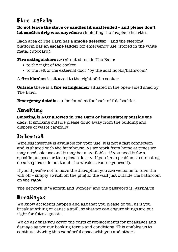## Fire safety

**Do not leave the stove or candles lit unattended – and please don't let candles drip wax anywhere** (including the fireplace hearth).

Each area of The Barn has a **smoke detector** – and the sleeping platform has an **escape ladder** for emergency use (stored in the white metal cupboard).

**Fire extinguishers** are situated inside The Barn:

- to the right of the cooker
- to the left of the external door (by the coat hooks/bathroom)

A **fire blanket** is situated to the right of the cooker.

**Outside** there is a **fire extinguisher** situated in the open-sided shed by The Barn.

**Emergency details** can be found at the back of this booklet.

## Smoking

**Smoking is NOT allowed in The Barn or immediately outside the door**. If smoking outside please do so away from the building and dispose of waste carefully.

## Internet

Wireless internet is available for your use. It is not a fast connection and is shared with the farmhouse. As we work from home at times we may need sole use and it may be unavailable - if you need it for a specific purpose or time please do say. If you have problems connecting do ask (please do not touch the wireless router yourself).

If you'd prefer not to have the disruption you are welcome to turn the wifi off – simply switch off the plug at the wall just outside the bathroom on the right.

The network is 'Warmth and Wonder' and the password is: garnfarm

## Breakages

We know accidents happen and ask that you please do tell us if you break anything or cause a spill, so that we can ensure things are put right for future guests.

We do ask that you cover the costs of replacements for breakages and damage as per our booking terms and conditions. This enables us to continue sharing this wonderful space with you and others.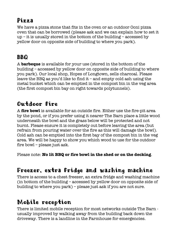## $P$ izza

We have a pizza stone that fits in the oven or an outdoor Ooni pizza oven that can be borrowed (please ask and we can explain how to set it up – it is usually stored in the bottom of the building – accessed by yellow door on opposite side of building to where you park).

## **BBQ**

A **barbeque** is available for your use (stored in the bottom of the building – accessed by yellow door on opposite side of building to where you park). Our local shop, Hopes of Longtown, sells charcoal. Please leave the BBQ as you'd like to find it – and empty cold ash using the metal bucket which can be emptied in the compost bin in the veg area (the first compost bin bay on right towards polytunnels).

## Outdoor fire

A **fire bowl** is available for an outside fire. Either use the fire-pit area by the pond, or if you prefer using it nearer The Barn place a little wood underneath the bowl and the grass below will be protected and not burnt. Please ensure it is completely out before leaving the area (but refrain from pouring water over the fire as this will damage the bowl). Cold ash can be emptied into the first bay of the compost bin in the veg area. We will be happy to show you which wood to use for the outdoor fire bowl – please just ask.

Please note: **No lit BBQ or fire bowl in the shed or on the decking**.

## Freezer, extra fridge and washing machine

There is access to a chest freezer, an extra fridge and washing machine (in bottom of the building – accessed by yellow door on opposite side of building to where you park) – please just ask if you are not sure.

## Mobile reception

There is limited mobile reception for most networks outside The Barn usually improved by walking away from the building back down the driveway. There is a landline in the Farmhouse for emergencies.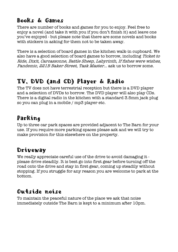## Books & Games

There are number of books and games for you to enjoy. Feel free to enjoy a novel (and take it with you if you don't finish it) and leave one you've enjoyed - but please note that there are some novels and books with stickers in asking for them not to be taken away.

There is a selection of board games in the kitchen walk-in cupboard. We also have a good selection of board games to borrow, including Ticket to Ride, Dixit, Carcassonne, Battle Sheep, Labyrinth, If fishes were wishes, Pandemic, 221B Baker Street, Task Master… ask us to borrow some.

## TV, DVD (and CD) Player & Radio

The TV does not have terrestrial reception but there is a DVD player and a selection of DVDs to borrow. The DVD player will also play CDs. There is a digital radio in the kitchen with a standard 3.5mm jack plug so you can plug in a mobile / mp3 player etc.

## Parking

Up to three car park spaces are provided adjacent to The Barn for your use. If you require more parking spaces please ask and we will try to make provision for this elsewhere on the property.

## Driveway

We really appreciate careful use of the drive to avoid damaging it please drive steadily. It is best go into first gear before turning off the road onto the drive and stay in first gear, coming up steadily without stopping. If you struggle for any reason you are welcome to park at the bottom.

## Outside noise

To maintain the peaceful nature of the place we ask that noise immediately outside The Barn is kept to a minimum after 10pm.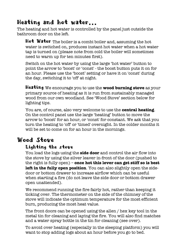## Heating and hot water**…**

The heating and hot water is controlled by the panel just outside the bathroom door on the left.

Hot Water The boiler is a combi boiler and, assuming the hot water is switched on, produces instant hot water when a hot water tap is turned on (please note from cold the boiler will sometimes need to warm up for ten minutes first).

Switch on the hot water by using the large 'hot water' button to point the arrow to 'boost' or 'const' - the boost button puts it on for an hour. Please use the 'boost' setting or have it on 'const' during the day, switching it to 'off' at night.

Heating We encourage you to use the **wood burning stove** as your primary source of heating as it is run from sustainably managed wood from our own woodland. See 'Wood Stove' section below for lighting tips.

You are, of course, also very welcome to use the **central heating**. On the control panel use the large 'heating' button to move the arrow to 'boost' for an hour, or 'const' for constant. We ask that you turn the heating to 'off' or 'timed' overnight. In the colder months it will be set to come on for an hour in the mornings.

## Wood Stove<br>Lighting the stove

You load the logs using the **side door** and control the air flow into the stove by using the silver leaver in-front of the door (pushed to the right is fully open) – **once hot this lever can get stiff so is best left in the fully open position**. You can also slightly open the sidedoor or bottom drawer to increase airflow which can be useful when starting a fire (do not leave the side door or bottom drawer open unattended).

We recommend running the fire fairly hot, rather than keeping it ticking over. The thermometer on the side of the chimney of the stove will indicate the optimum temperature for the most efficient burn, producing the most heat value.

The front doors can be opened using the allen / hex key tool in the metal tin for cleaning and laying the fire. You will also find matches and a water spray bottle in the tin for cleaning (see over).

To avoid over heating (especially in the sleeping platform) you will want to stop adding logs about an hour before you go to bed.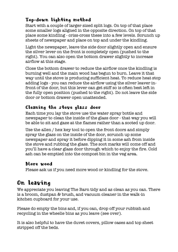### Top-down lighting method

Start with a couple of larger sized split logs. On top of that place some smaller logs aligned in the opposite direction. On top of that place some kindling - criss-cross these into a few levels. Scrunch up sheets of newspaper and place on top and under the kindling.

Light the newspaper, leave the side door slightly open and ensure the silver lever on the front is completely open (pushed to the right). You can also open the bottom drawer slightly to increase airflow at this stage.

Close the bottom drawer to reduce the airflow once the kindling is burning well and the main wood has begun to burn. Leave it that way until the stove is producing sufficient heat. To reduce heat stop adding logs - you can reduce the airflow using the silver leaver infront of the door, but this lever can get stiff so is often best left in the fully open position (pushed to the right). Do not leave the side door or bottom drawer open unattended.

### Cleaning the stove glass door

Each time you lay the stove use the water spray bottle and newspaper to clean the inside of the glass door - that way you will be able to sit and gaze at the flames rather than a sooted up door.

Use the allen / hex key tool to open the front doors and simply spray the glass on the inside of the door, scrunch up some newspaper and spray it before dipping it in some ash from inside the stove and rubbing the glass. The soot marks will come off and you'll have a clear glass door through which to enjoy the fire. Cold ash can be emptied into the compost bin in the veg area.

#### More wood

Please ask us if you need more wood or kindling for the stove.

## On leaving

We appreciate you leaving The Barn tidy and as clean as you can. There is a broom, dustpan & brush, and vacuum cleaner in the walk-in kitchen cupboard for your use.

Please do empty the bins and, if you can, drop off your rubbish and recycling in the wheelie bins as you leave (see over).

It is also helpful to have the duvet covers, pillow cases and top sheet stripped off the beds.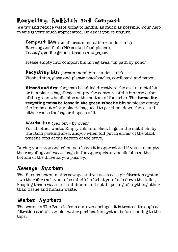## Recycling, Rubbish and Compost

We try and reduce waste going to landfill as much as possible. Your help in this is very much appreciated. Do ask if you're unsure.

 $Compos\cdot t$  bin (small cream metal bin – under sink) Raw veg and fruit (NO cooked food please), Teabags, coffee grinds, tissues and paper.

Please empty into compost bin in veg area (up path by pond).

Recycling bin (cream metal bin – under sink) Washed tins, glass and plastic pots/bottles, cardboard and paper.

**Rinsed and dry**, they can be added directly to the cream metal bin or in a plastic bag. Please empty the contents of the bin into either of the green wheelie bins at the bottom of the drive. The **items for recycling must be loose in the green wheelie bin** so please empty the items out of any plastic bag used to get them down there, and either reuse the bag or dispose of it.

Waste  $\lim$  (red bin - by oven)

For all other waste. Empty this into black bags in the metal bin by the Barn parking area, and/or when full put in either of the black wheelie bins at the bottom of the drive.

During your stay and when you leave it is appreciated if you can empty the recycling and waste bags in the appropriate wheelie bins at the bottom of the drive as you pass by.

## Sewage System

The Barn is not on mains sewage and we use a cess pit filtration system - we therefore ask you to be mindful of what you flush down the toilet, keeping tissue waste to a minimum and not disposing of anything other than tissue and human waste.

## Water System

The water in The Barn is from our own springs - it is treated through a filtration and ultraviolet water purification system before coming to the taps.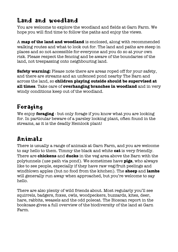## Land and woodland

You are welcome to explore the woodland and fields at Garn Farm. We hope you will find time to follow the paths and enjoy the views.

A **map of the land and woodland** is enclosed, along with recommended walking routes and what to look out for. The land and paths are steep in places and so not accessible for everyone and you do so at your own risk. Please respect the fencing and be aware of the boundaries of the land, not trespassing onto neighbouring land.

**Safety warning:** Please note there are areas roped off for your safety, and there are streams and an unfenced pond nearby The Barn and across the land, so **children playing outside should be supervised at all times**. Take care of **overhanging branches in woodland** and in very windy conditions keep out of the woodland.

## Foraging

We enjoy **foraging** - but only forage if you know what you are looking for. In particular beware of a parsley looking plant, often found in the streams, as it is the deadly Hemlock plant!

## Animals

There is usually a range of animals at Garn Farm, and you are welcome to say hello to them. Timmy the black and white **cat** is very friendly. There are **chickens** and **ducks** in the veg area above the Barn with the polytunnels (use path via pond). We sometimes have **pigs**, who always like to see people, especially if they have raw veg/fruit peelings and windblown apples (but no food from the kitchen). The **sheep** and **lambs** will generally run away when approached, but you're welcome to say hello.

There are also plenty of wild friends about. Most regularly you'll see squirrels, badgers, foxes, owls, woodpeckers, buzzards, kites, deer, hare, rabbits, weasels and the odd polecat. The Bioscan report in the bookcase gives a full overview of the biodiversity of the land at Garn Farm.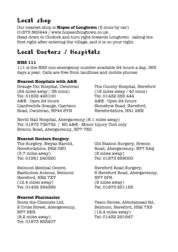## Local shop

Our nearest shop is **Hopes of Longtown** (5 mins by car) 01873 860444 / www.hopesoflongtown.co.uk Head down to Clodock and turn right towards Longtown - taking the first right after entering the village, and it is on your right.

## Local Doctors / Hospitals

#### **NHS 111**

111 is the NHS non-emergency number available 24 hours a day, 365 days a year. Calls are free from landlines and mobile phones.

#### **Nearest Hospitals with A&E**

Grange Uni Hospital, Cwmbran (24 miles away / 38 mins) Tel: 01633 493100 A&E - Open 24 hours Llanfrechfa Grange, Caerleon Road, Cwmbran, NP44 8YN

The County Hospital, Hereford (18 miles away / 40 mins) Tel: 01432 355 444 A&E - Open 24 hours Stonebow Road, Hereford, Herefordshire, HR1 2BN

Nevill Hall Hospital, Abergavenny (8.1 miles away) Tel: 01873 732732 / NO A&E - Minor Injury Unit only Brecon Road, Abergavenny, NP7 7EG

#### **Nearest Doctors Surgery**

The Surgery, Ewyas Harold, Herefordshire, HR2 0EU (3.7 miles away) Tel: 01981 240320

Belmont Medical Centre, Eastholme Avenue, Belmont Hereford, HR2 7XT (12.4 miles away) Tel: 01432 354366

#### **Nearest Pharmacies**

Boots the Chemists Ltd, 2 Cross Street, Abergavenny, NP7 5EH (8.2 miles away) Tel: 01873 853207

Old Station Surgery, Brecon Road, Abergavenny, NP7 5AQ (8 miles away) Tel: 01873 859000

Hereford Road Surgery, 6 Hereford Road, Abergavenny, NP7 5PR (8 miles away) Tel: 01873 851155

Tesco Stores, Abbotsmead Rd, Belmont, Hereford, HR2 7XS (12.4 miles away) Tel: 01432 291647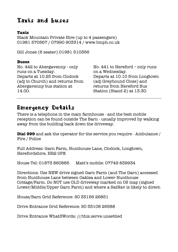## Taxis and buses

#### **Taxis**

Black Mountain Private Hire (up to 4 passengers) 01981 570567 / 07990 903314 / www.bmph.co.uk

Gill Jones (6 seater) 01981 510356

#### **Buses**

No. 442 to Abergavenny - only runs on a Tuesday. Departs at 10.25 from Clodock (adj to Church) and returns from Abergavenny bus station at 14.00.

No. 441 to Hereford – only runs on a Wednesday. Departs at 10.10 from Longtown (adj Greyhound Close) and returns from Hereford Bus Station (Stand 2) at 13.30.

### Emergency Details

There is a telephone in the main farmhouse - and the best mobile reception can be found outside The Barn - usually improved by walking away from the building back down the driveway.

**Dial 999** and ask the operator for the service you require - Ambulance / Fire / Police

Full Address: Garn Farm, Hunthouse Lane, Clodock, Longtown, Herefordshire, HR2 0PE

House Tel: 01873 860885 Matt's mobile: 07749 839934

Directions: Use NEW drive signed Garn Farm (and The Garn) accessed from Hunthouse Lane between Oaklea and Lower Hunthouse Cottage/Farm. Do NOT use OLD driveway marked on OS map (signed Lower/Middle/Upper Garn Farm) and where a SatNav is likely to direct.

House/Barn Grid Reference: SO 33156 26851

Drive Entrance Grid Reference: SO 33108 26588

Drive Entrance What3Words: ///this.serve.unsettled